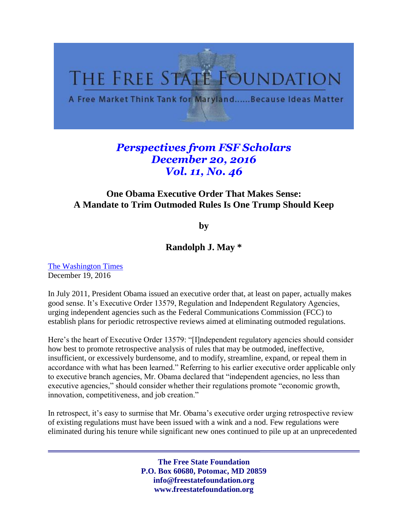

## *Perspectives from FSF Scholars December 20, 2016 Vol. 11, No. 46*

## **One Obama Executive Order That Makes Sense: A Mandate to Trim Outmoded Rules Is One Trump Should Keep**

**by**

## **Randolph J. May \***

[The Washington Times](http://www.washingtontimes.com/news/2016/dec/19/donald-trump-should-keep-obama-executive-order-to-/) December 19, 2016

In July 2011, President Obama issued an executive order that, at least on paper, actually makes good sense. It's Executive Order 13579, Regulation and Independent Regulatory Agencies, urging independent agencies such as the Federal Communications Commission (FCC) to establish plans for periodic retrospective reviews aimed at eliminating outmoded regulations.

Here's the heart of Executive Order 13579: "[I]ndependent regulatory agencies should consider how best to promote retrospective analysis of rules that may be outmoded, ineffective, insufficient, or excessively burdensome, and to modify, streamline, expand, or repeal them in accordance with what has been learned." Referring to his earlier executive order applicable only to executive branch agencies, Mr. Obama declared that "independent agencies, no less than executive agencies," should consider whether their regulations promote "economic growth, innovation, competitiveness, and job creation."

In retrospect, it's easy to surmise that Mr. Obama's executive order urging retrospective review of existing regulations must have been issued with a wink and a nod. Few regulations were eliminated during his tenure while significant new ones continued to pile up at an unprecedented

> **The Free State Foundation P.O. Box 60680, Potomac, MD 20859 info@freestatefoundation.org www.freestatefoundation.org**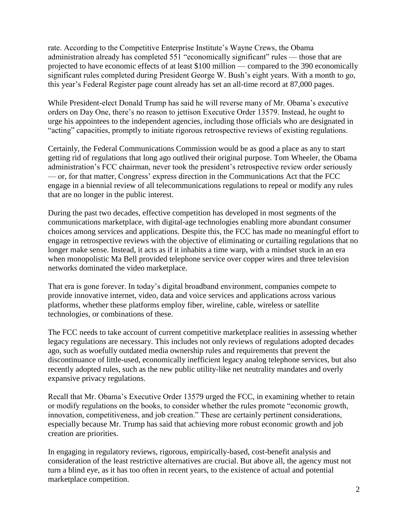rate. According to the Competitive Enterprise Institute's Wayne Crews, the Obama administration already has completed 551 "economically significant" rules — those that are projected to have economic effects of at least \$100 million — compared to the 390 economically significant rules completed during President George W. Bush's eight years. With a month to go, this year's Federal Register page count already has set an all-time record at 87,000 pages.

While President-elect Donald Trump has said he will reverse many of Mr. Obama's executive orders on Day One, there's no reason to jettison Executive Order 13579. Instead, he ought to urge his appointees to the independent agencies, including those officials who are designated in "acting" capacities, promptly to initiate rigorous retrospective reviews of existing regulations.

Certainly, the Federal Communications Commission would be as good a place as any to start getting rid of regulations that long ago outlived their original purpose. Tom Wheeler, the Obama administration's FCC chairman, never took the president's retrospective review order seriously — or, for that matter, Congress' express direction in the Communications Act that the FCC engage in a biennial review of all telecommunications regulations to repeal or modify any rules that are no longer in the public interest.

During the past two decades, effective competition has developed in most segments of the communications marketplace, with digital-age technologies enabling more abundant consumer choices among services and applications. Despite this, the FCC has made no meaningful effort to engage in retrospective reviews with the objective of eliminating or curtailing regulations that no longer make sense. Instead, it acts as if it inhabits a time warp, with a mindset stuck in an era when monopolistic Ma Bell provided telephone service over copper wires and three television networks dominated the video marketplace.

That era is gone forever. In today's digital broadband environment, companies compete to provide innovative internet, video, data and voice services and applications across various platforms, whether these platforms employ fiber, wireline, cable, wireless or satellite technologies, or combinations of these.

The FCC needs to take account of current competitive marketplace realities in assessing whether legacy regulations are necessary. This includes not only reviews of regulations adopted decades ago, such as woefully outdated media ownership rules and requirements that prevent the discontinuance of little-used, economically inefficient legacy analog telephone services, but also recently adopted rules, such as the new public utility-like net neutrality mandates and overly expansive privacy regulations.

Recall that Mr. Obama's Executive Order 13579 urged the FCC, in examining whether to retain or modify regulations on the books, to consider whether the rules promote "economic growth, innovation, competitiveness, and job creation." These are certainly pertinent considerations, especially because Mr. Trump has said that achieving more robust economic growth and job creation are priorities.

In engaging in regulatory reviews, rigorous, empirically-based, cost-benefit analysis and consideration of the least restrictive alternatives are crucial. But above all, the agency must not turn a blind eye, as it has too often in recent years, to the existence of actual and potential marketplace competition.